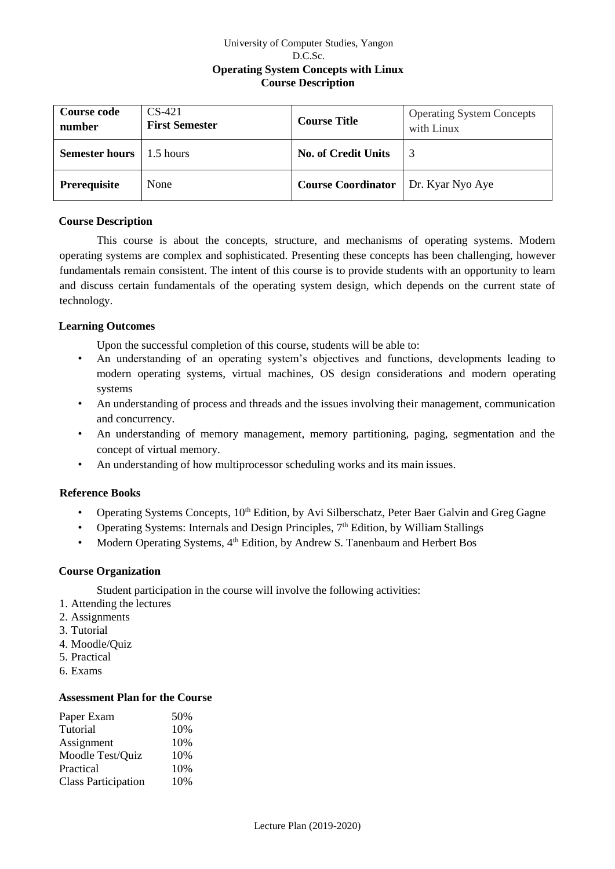# University of Computer Studies, Yangon D.C.Sc. **Operating System Concepts with Linux Course Description**

| <b>Course code</b><br>number | $CS-421$<br><b>First Semester</b> | <b>Course Title</b>        | <b>Operating System Concepts</b><br>with Linux |
|------------------------------|-----------------------------------|----------------------------|------------------------------------------------|
| <b>Semester hours</b>        | 1.5 hours                         | <b>No. of Credit Units</b> |                                                |
| Prerequisite                 | None                              | <b>Course Coordinator</b>  | Dr. Kyar Nyo Aye                               |

# **Course Description**

This course is about the concepts, structure, and mechanisms of operating systems. Modern operating systems are complex and sophisticated. Presenting these concepts has been challenging, however fundamentals remain consistent. The intent of this course is to provide students with an opportunity to learn and discuss certain fundamentals of the operating system design, which depends on the current state of technology.

# **Learning Outcomes**

Upon the successful completion of this course, students will be able to:

- An understanding of an operating system's objectives and functions, developments leading to modern operating systems, virtual machines, OS design considerations and modern operating systems
- An understanding of process and threads and the issues involving their management, communication and concurrency.
- An understanding of memory management, memory partitioning, paging, segmentation and the concept of virtual memory.
- An understanding of how multiprocessor scheduling works and its main issues.

### **Reference Books**

- Operating Systems Concepts,  $10<sup>th</sup>$  Edition, by Avi Silberschatz, Peter Baer Galvin and Greg Gagne
- Operating Systems: Internals and Design Principles,  $7<sup>th</sup>$  Edition, by William Stallings
- Modern Operating Systems, 4<sup>th</sup> Edition, by Andrew S. Tanenbaum and Herbert Bos

### **Course Organization**

Student participation in the course will involve the following activities:

- 1. Attending the lectures
- 2. Assignments
- 3. Tutorial
- 4. Moodle/Quiz
- 5. Practical
- 6. Exams

# **Assessment Plan for the Course**

| Paper Exam                 | 50% |
|----------------------------|-----|
| Tutorial                   | 10% |
| Assignment                 | 10% |
| Moodle Test/Quiz           | 10% |
| Practical                  | 10% |
| <b>Class Participation</b> | 10% |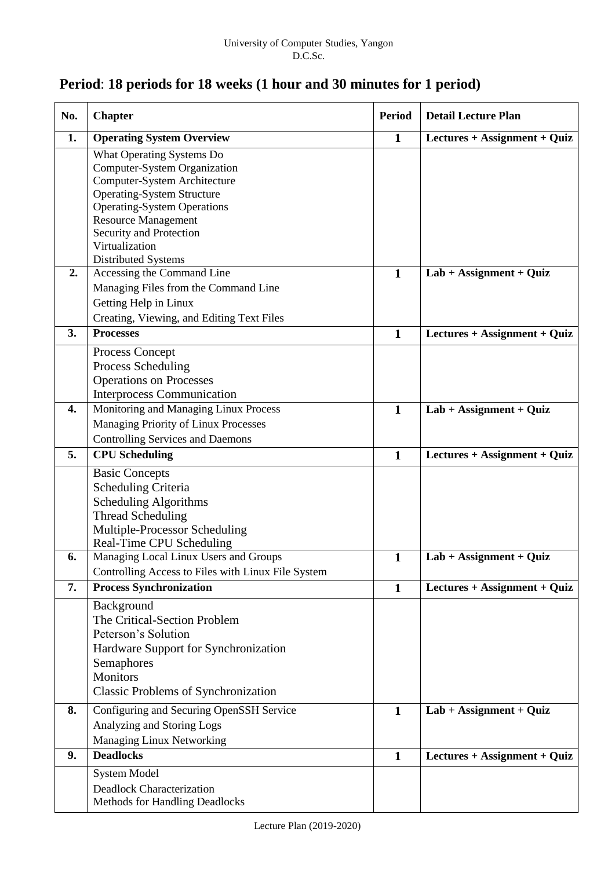# **Period**: **18 periods for 18 weeks (1 hour and 30 minutes for 1 period)**

| No.              | <b>Chapter</b>                                                          | <b>Period</b> | <b>Detail Lecture Plan</b>   |
|------------------|-------------------------------------------------------------------------|---------------|------------------------------|
| 1.               | <b>Operating System Overview</b>                                        | $\mathbf{1}$  | Lectures + Assignment + Quiz |
|                  | What Operating Systems Do                                               |               |                              |
|                  | Computer-System Organization                                            |               |                              |
|                  | Computer-System Architecture                                            |               |                              |
|                  | <b>Operating-System Structure</b><br><b>Operating-System Operations</b> |               |                              |
|                  | <b>Resource Management</b>                                              |               |                              |
|                  | Security and Protection                                                 |               |                              |
|                  | Virtualization                                                          |               |                              |
|                  | Distributed Systems                                                     |               |                              |
| 2.               | Accessing the Command Line                                              | $\mathbf{1}$  | $Lab + Assignment + Quiz$    |
|                  | Managing Files from the Command Line                                    |               |                              |
|                  | Getting Help in Linux                                                   |               |                              |
|                  | Creating, Viewing, and Editing Text Files                               |               |                              |
| 3.               | <b>Processes</b>                                                        | $\mathbf{1}$  | Lectures + Assignment + Quiz |
|                  | Process Concept                                                         |               |                              |
|                  | Process Scheduling                                                      |               |                              |
|                  | <b>Operations on Processes</b>                                          |               |                              |
|                  | <b>Interprocess Communication</b>                                       |               |                              |
| $\overline{4}$ . | Monitoring and Managing Linux Process                                   | $\mathbf{1}$  | $Lab + Assignment + Quiz$    |
|                  | Managing Priority of Linux Processes                                    |               |                              |
|                  | <b>Controlling Services and Daemons</b>                                 |               |                              |
| 5.               | <b>CPU</b> Scheduling                                                   | $\mathbf{1}$  | Lectures + Assignment + Quiz |
|                  | <b>Basic Concepts</b>                                                   |               |                              |
|                  | Scheduling Criteria                                                     |               |                              |
|                  | Scheduling Algorithms                                                   |               |                              |
|                  | Thread Scheduling                                                       |               |                              |
|                  | Multiple-Processor Scheduling                                           |               |                              |
|                  | Real-Time CPU Scheduling                                                |               |                              |
| 6.               | Managing Local Linux Users and Groups                                   | $\mathbf{1}$  | $Lab + Assignment + Quiz$    |
|                  | Controlling Access to Files with Linux File System                      |               |                              |
| 7.               | <b>Process Synchronization</b>                                          | $\mathbf{1}$  | Lectures + Assignment + Quiz |
|                  | Background                                                              |               |                              |
|                  | The Critical-Section Problem                                            |               |                              |
|                  | Peterson's Solution                                                     |               |                              |
|                  | Hardware Support for Synchronization                                    |               |                              |
|                  | Semaphores                                                              |               |                              |
|                  | Monitors                                                                |               |                              |
|                  | <b>Classic Problems of Synchronization</b>                              |               |                              |
| 8.               | Configuring and Securing OpenSSH Service                                | $\mathbf{1}$  | $Lab + Assignment + Quiz$    |
|                  | Analyzing and Storing Logs                                              |               |                              |
|                  | Managing Linux Networking                                               |               |                              |
| 9.               | <b>Deadlocks</b>                                                        | $\mathbf{1}$  | Lectures + Assignment + Quiz |
|                  | <b>System Model</b>                                                     |               |                              |
|                  | Deadlock Characterization                                               |               |                              |
|                  | Methods for Handling Deadlocks                                          |               |                              |